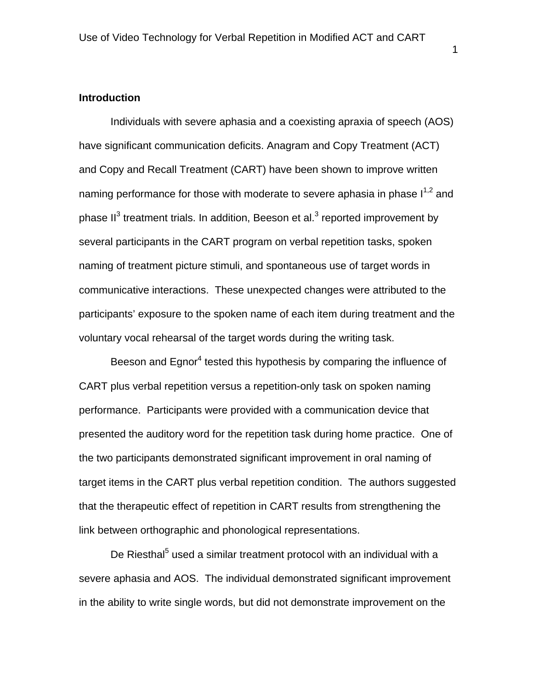# **Introduction**

Individuals with severe aphasia and a coexisting apraxia of speech (AOS) have significant communication deficits. Anagram and Copy Treatment (ACT) and Copy and Recall Treatment (CART) have been shown to improve written naming performance for those with moderate to severe aphasia in phase  $I^{1,2}$  and phase II<sup>3</sup> treatment trials. In addition, Beeson et al.<sup>3</sup> reported improvement by several participants in the CART program on verbal repetition tasks, spoken naming of treatment picture stimuli, and spontaneous use of target words in communicative interactions. These unexpected changes were attributed to the participants' exposure to the spoken name of each item during treatment and the voluntary vocal rehearsal of the target words during the writing task.

Beeson and Egnor<sup>4</sup> tested this hypothesis by comparing the influence of CART plus verbal repetition versus a repetition-only task on spoken naming performance. Participants were provided with a communication device that presented the auditory word for the repetition task during home practice. One of the two participants demonstrated significant improvement in oral naming of target items in the CART plus verbal repetition condition. The authors suggested that the therapeutic effect of repetition in CART results from strengthening the link between orthographic and phonological representations.

De Riesthal<sup>5</sup> used a similar treatment protocol with an individual with a severe aphasia and AOS. The individual demonstrated significant improvement in the ability to write single words, but did not demonstrate improvement on the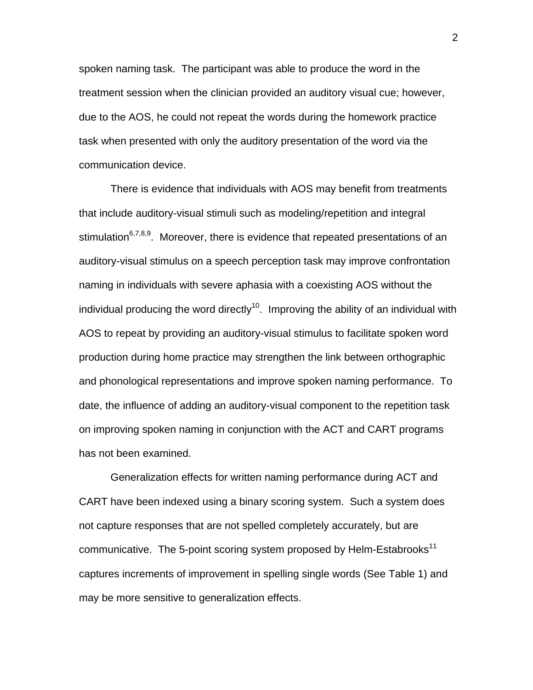spoken naming task. The participant was able to produce the word in the treatment session when the clinician provided an auditory visual cue; however, due to the AOS, he could not repeat the words during the homework practice task when presented with only the auditory presentation of the word via the communication device.

There is evidence that individuals with AOS may benefit from treatments that include auditory-visual stimuli such as modeling/repetition and integral stimulation<sup>6,7,8,9</sup>. Moreover, there is evidence that repeated presentations of an auditory-visual stimulus on a speech perception task may improve confrontation naming in individuals with severe aphasia with a coexisting AOS without the individual producing the word directly<sup>10</sup>. Improving the ability of an individual with AOS to repeat by providing an auditory-visual stimulus to facilitate spoken word production during home practice may strengthen the link between orthographic and phonological representations and improve spoken naming performance. To date, the influence of adding an auditory-visual component to the repetition task on improving spoken naming in conjunction with the ACT and CART programs has not been examined.

Generalization effects for written naming performance during ACT and CART have been indexed using a binary scoring system. Such a system does not capture responses that are not spelled completely accurately, but are communicative. The 5-point scoring system proposed by Helm-Estabrooks<sup>11</sup> captures increments of improvement in spelling single words (See Table 1) and may be more sensitive to generalization effects.

2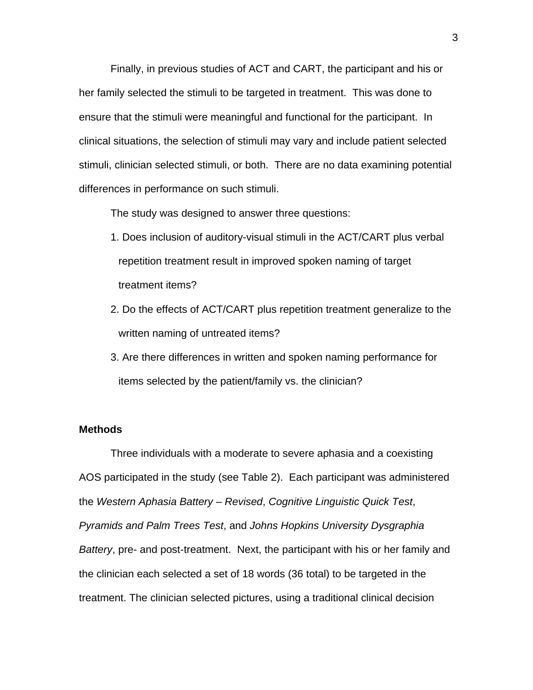Finally, in previous studies of ACT and CART, the participant and his or her family selected the stimuli to be targeted in treatment. This was done to ensure that the stimuli were meaningful and functional for the participant. In clinical situations, the selection of stimuli may vary and include patient selected stimuli, clinician selected stimuli, or both. There are no data examining potential differences in performance on such stimuli.

The study was designed to answer three questions:

- 1. Does inclusion of auditory-visual stimuli in the ACT/CART plus verbal repetition treatment result in improved spoken naming of target treatment items?
- 2. Do the effects of ACT/CART plus repetition treatment generalize to the written naming of untreated items?
- 3. Are there differences in written and spoken naming performance for items selected by the patient/family vs. the clinician?

# **Methods**

Three individuals with a moderate to severe aphasia and a coexisting AOS participated in the study (see Table 2). Each participant was administered the *Western Aphasia Battery – Revised*, *Cognitive Linguistic Quick Test*, *Pyramids and Palm Trees Test*, and *Johns Hopkins University Dysgraphia Battery*, pre- and post-treatment. Next, the participant with his or her family and the clinician each selected a set of 18 words (36 total) to be targeted in the treatment. The clinician selected pictures, using a traditional clinical decision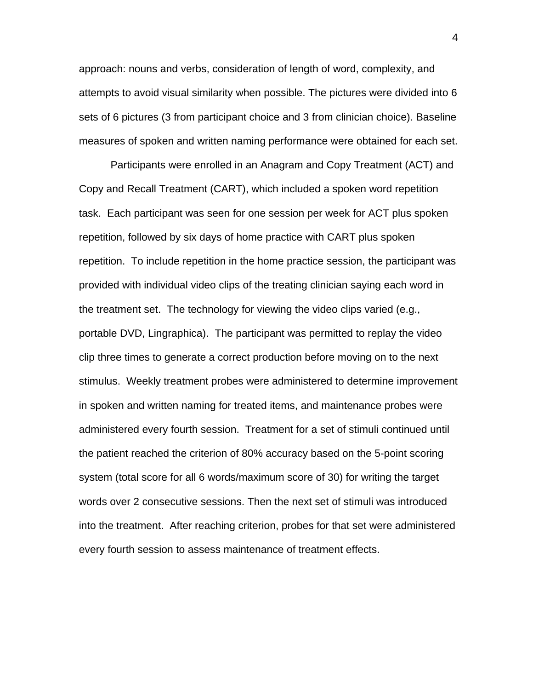approach: nouns and verbs, consideration of length of word, complexity, and attempts to avoid visual similarity when possible. The pictures were divided into 6 sets of 6 pictures (3 from participant choice and 3 from clinician choice). Baseline measures of spoken and written naming performance were obtained for each set.

Participants were enrolled in an Anagram and Copy Treatment (ACT) and Copy and Recall Treatment (CART), which included a spoken word repetition task. Each participant was seen for one session per week for ACT plus spoken repetition, followed by six days of home practice with CART plus spoken repetition. To include repetition in the home practice session, the participant was provided with individual video clips of the treating clinician saying each word in the treatment set. The technology for viewing the video clips varied (e.g., portable DVD, Lingraphica). The participant was permitted to replay the video clip three times to generate a correct production before moving on to the next stimulus. Weekly treatment probes were administered to determine improvement in spoken and written naming for treated items, and maintenance probes were administered every fourth session. Treatment for a set of stimuli continued until the patient reached the criterion of 80% accuracy based on the 5-point scoring system (total score for all 6 words/maximum score of 30) for writing the target words over 2 consecutive sessions. Then the next set of stimuli was introduced into the treatment. After reaching criterion, probes for that set were administered every fourth session to assess maintenance of treatment effects.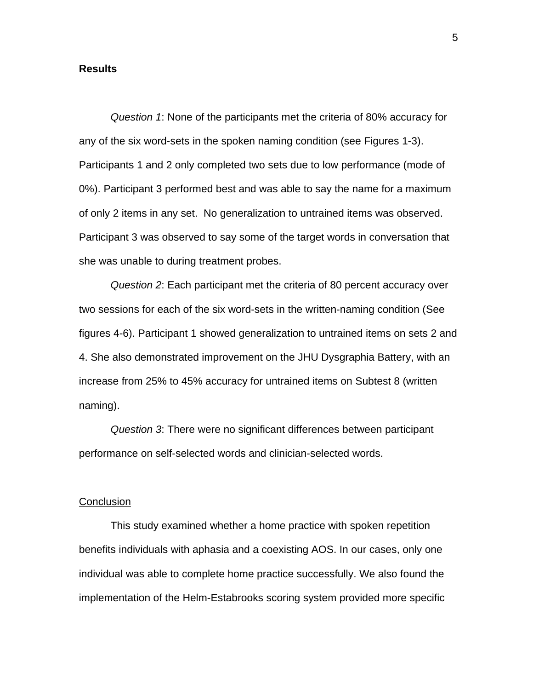# **Results**

*Question 1*: None of the participants met the criteria of 80% accuracy for any of the six word-sets in the spoken naming condition (see Figures 1-3). Participants 1 and 2 only completed two sets due to low performance (mode of 0%). Participant 3 performed best and was able to say the name for a maximum of only 2 items in any set. No generalization to untrained items was observed. Participant 3 was observed to say some of the target words in conversation that she was unable to during treatment probes.

*Question 2*: Each participant met the criteria of 80 percent accuracy over two sessions for each of the six word-sets in the written-naming condition (See figures 4-6). Participant 1 showed generalization to untrained items on sets 2 and 4. She also demonstrated improvement on the JHU Dysgraphia Battery, with an increase from 25% to 45% accuracy for untrained items on Subtest 8 (written naming).

*Question 3*: There were no significant differences between participant performance on self-selected words and clinician-selected words.

#### **Conclusion**

This study examined whether a home practice with spoken repetition benefits individuals with aphasia and a coexisting AOS. In our cases, only one individual was able to complete home practice successfully. We also found the implementation of the Helm-Estabrooks scoring system provided more specific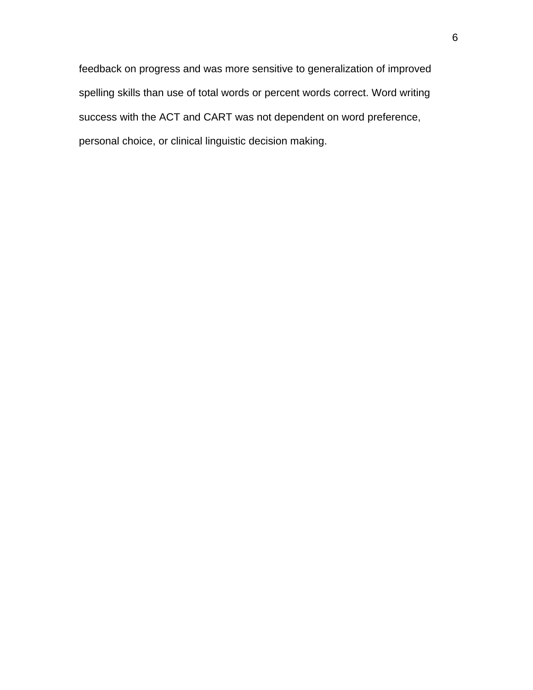feedback on progress and was more sensitive to generalization of improved spelling skills than use of total words or percent words correct. Word writing success with the ACT and CART was not dependent on word preference, personal choice, or clinical linguistic decision making.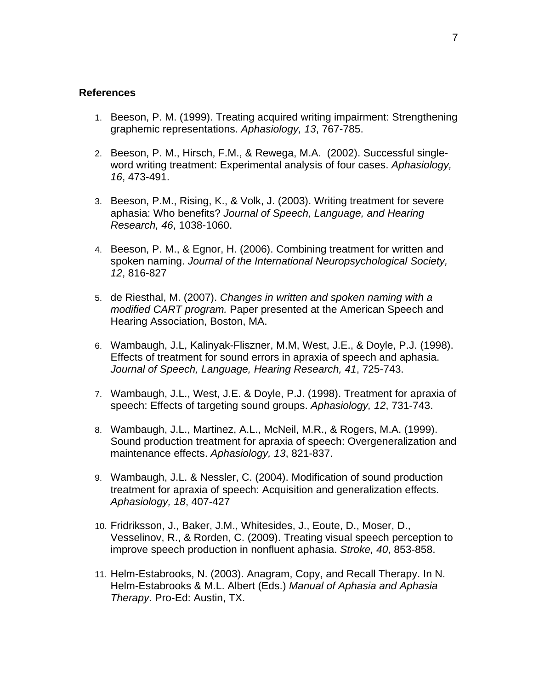#### **References**

- 1. Beeson, P. M. (1999). Treating acquired writing impairment: Strengthening graphemic representations. *Aphasiology, 13*, 767-785.
- 2. Beeson, P. M., Hirsch, F.M., & Rewega, M.A. (2002). Successful singleword writing treatment: Experimental analysis of four cases. *Aphasiology, 16*, 473-491.
- 3. Beeson, P.M., Rising, K., & Volk, J. (2003). Writing treatment for severe aphasia: Who benefits? *Journal of Speech, Language, and Hearing Research, 46*, 1038-1060.
- 4. Beeson, P. M., & Egnor, H. (2006). Combining treatment for written and spoken naming. *Journal of the International Neuropsychological Society, 12*, 816-827
- 5. de Riesthal, M. (2007). *Changes in written and spoken naming with a modified CART program.* Paper presented at the American Speech and Hearing Association, Boston, MA.
- 6. Wambaugh, J.L, Kalinyak-Fliszner, M.M, West, J.E., & Doyle, P.J. (1998). Effects of treatment for sound errors in apraxia of speech and aphasia. *Journal of Speech, Language, Hearing Research, 41*, 725-743.
- 7. Wambaugh, J.L., West, J.E. & Doyle, P.J. (1998). Treatment for apraxia of speech: Effects of targeting sound groups. *Aphasiology, 12*, 731-743.
- 8. Wambaugh, J.L., Martinez, A.L., McNeil, M.R., & Rogers, M.A. (1999). Sound production treatment for apraxia of speech: Overgeneralization and maintenance effects. *Aphasiology, 13*, 821-837.
- 9. Wambaugh, J.L. & Nessler, C. (2004). Modification of sound production treatment for apraxia of speech: Acquisition and generalization effects. *Aphasiology, 18*, 407-427
- 10. Fridriksson, J., Baker, J.M., Whitesides, J., Eoute, D., Moser, D., Vesselinov, R., & Rorden, C. (2009). Treating visual speech perception to improve speech production in nonfluent aphasia. *Stroke, 40*, 853-858.
- 11. Helm-Estabrooks, N. (2003). Anagram, Copy, and Recall Therapy. In N. Helm-Estabrooks & M.L. Albert (Eds.) *Manual of Aphasia and Aphasia Therapy*. Pro-Ed: Austin, TX.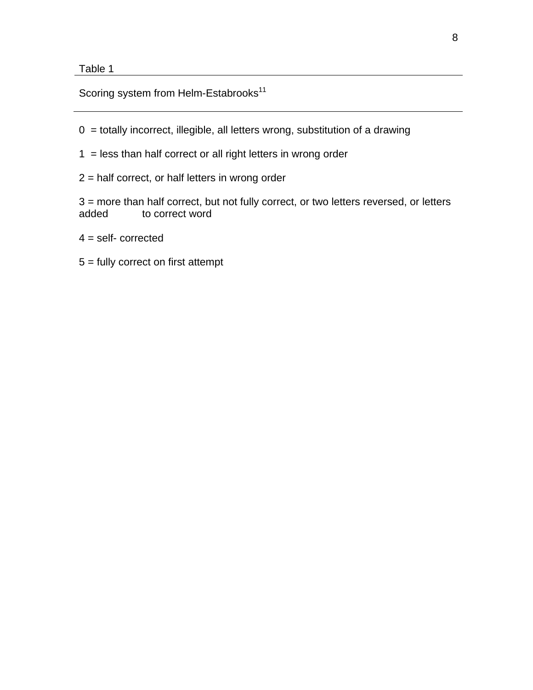Table 1

Scoring system from Helm-Estabrooks<sup>11</sup>

- $0 =$  totally incorrect, illegible, all letters wrong, substitution of a drawing
- 1 = less than half correct or all right letters in wrong order
- 2 = half correct, or half letters in wrong order

3 = more than half correct, but not fully correct, or two letters reversed, or letters added to correct word

- $4 =$  self- corrected
- 5 = fully correct on first attempt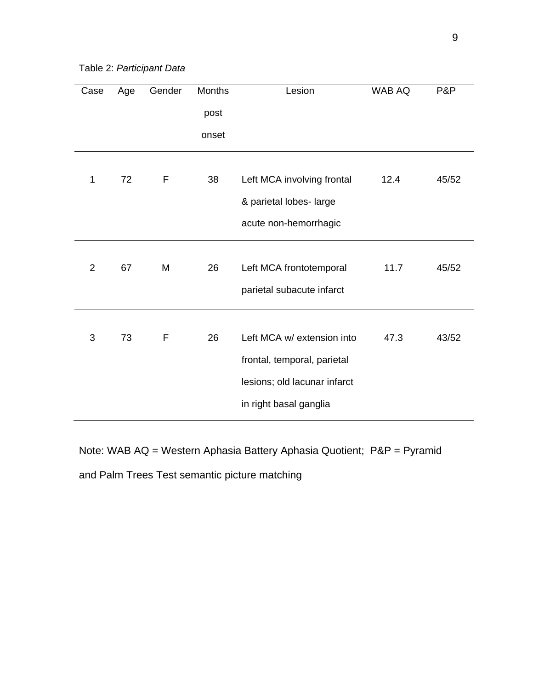Table 2: *Participant Data*

| Case           | Age | Gender | <b>Months</b> | Lesion                       | <b>WAB AQ</b> | P&P   |
|----------------|-----|--------|---------------|------------------------------|---------------|-------|
|                |     |        | post          |                              |               |       |
|                |     |        | onset         |                              |               |       |
|                |     |        |               |                              |               |       |
| 1              | 72  | F      | 38            | Left MCA involving frontal   | 12.4          | 45/52 |
|                |     |        |               | & parietal lobes- large      |               |       |
|                |     |        |               | acute non-hemorrhagic        |               |       |
|                |     |        |               |                              |               |       |
| $\overline{2}$ | 67  | M      | 26            | Left MCA frontotemporal      | 11.7          | 45/52 |
|                |     |        |               | parietal subacute infarct    |               |       |
|                |     |        |               |                              |               |       |
| 3              | 73  | F      | 26            | Left MCA w/ extension into   | 47.3          | 43/52 |
|                |     |        |               | frontal, temporal, parietal  |               |       |
|                |     |        |               | lesions; old lacunar infarct |               |       |
|                |     |        |               | in right basal ganglia       |               |       |
|                |     |        |               |                              |               |       |

Note: WAB AQ = Western Aphasia Battery Aphasia Quotient; P&P = Pyramid and Palm Trees Test semantic picture matching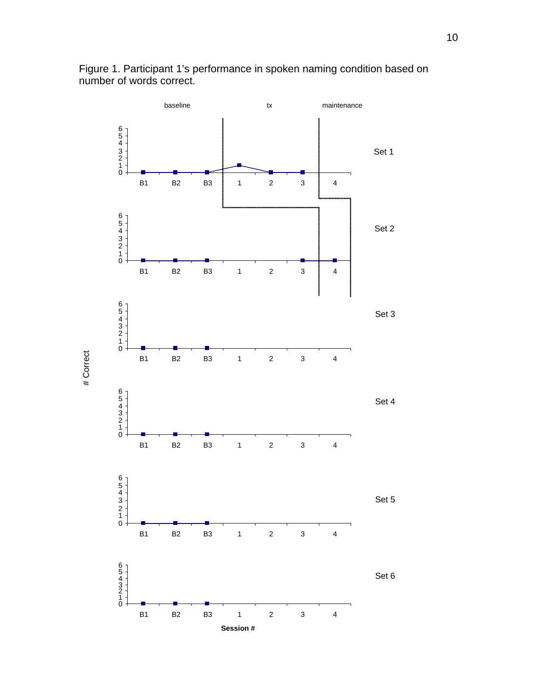

# Correct

# Correct

Figure 1. Participant 1's performance in spoken naming condition based on number of words correct.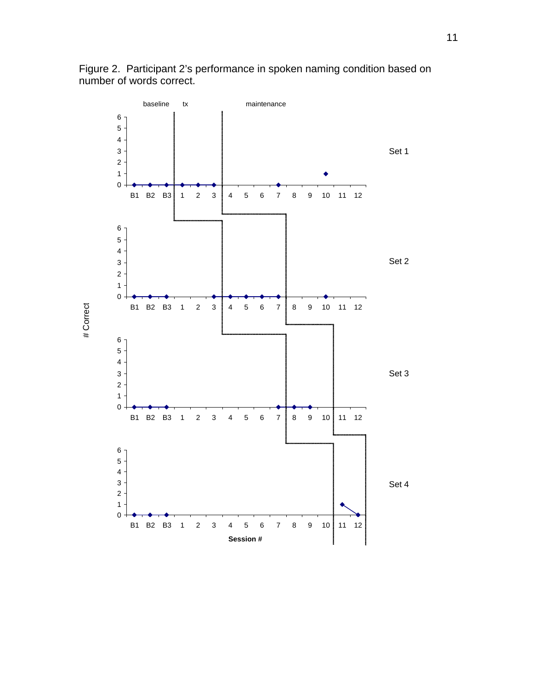

Figure 2. Participant 2's performance in spoken naming condition based on number of words correct.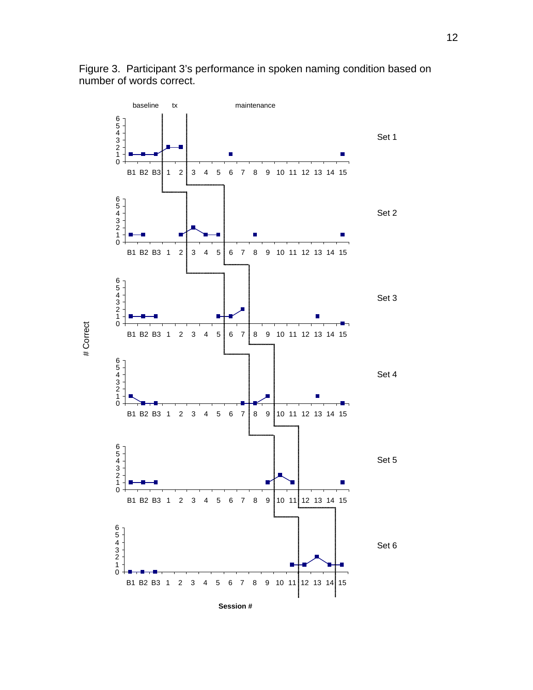

Figure 3. Participant 3's performance in spoken naming condition based on number of words correct.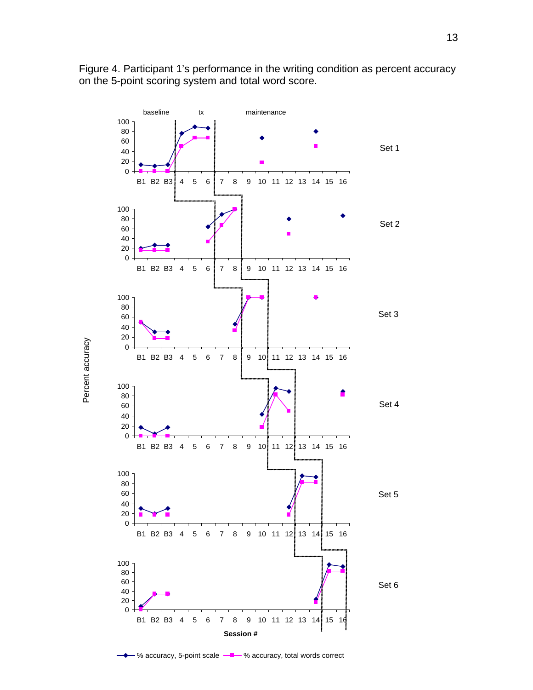

Figure 4. Participant 1's performance in the writing condition as percent accuracy on the 5-point scoring system and total word score.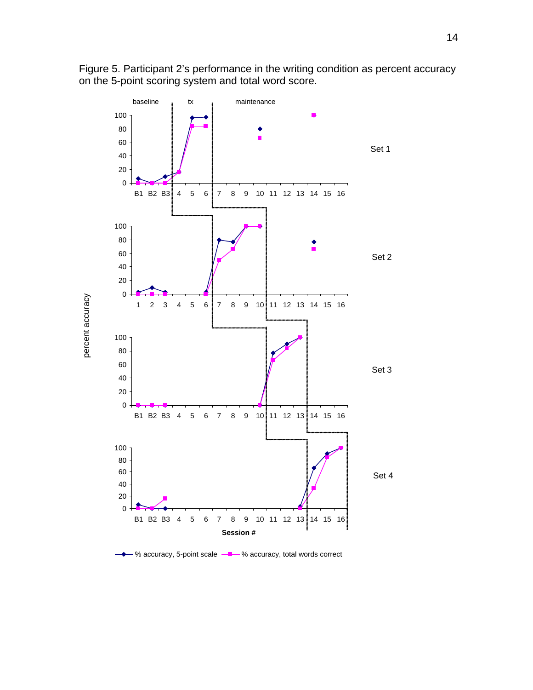

percent accuracy

percent accuracy

Figure 5. Participant 2's performance in the writing condition as percent accuracy on the 5-point scoring system and total word score.

% accuracy, 5-point scale  $-\blacksquare$  % accuracy, total words correct